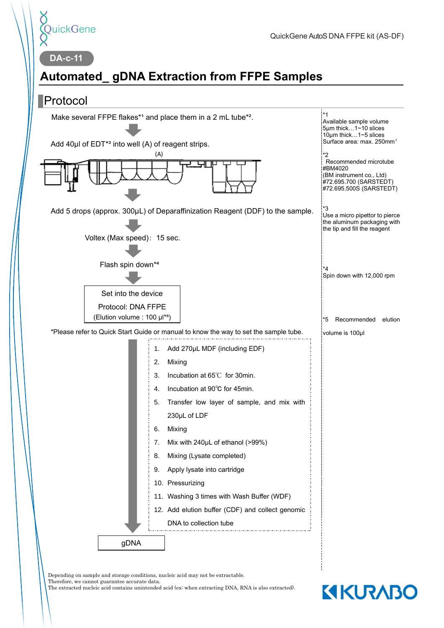

**DA-c-11**

# **Automated\_ gDNA Extraction from FFPE Samples**



Depending on sample and storage conditions, nucleic acid may not be extractable. Therefore, we cannot guarantee accurate data.

The extracted nucleic acid contains unintended acid (ex: when extracting DNA, RNA is also extracted).

# **KIKURABO**